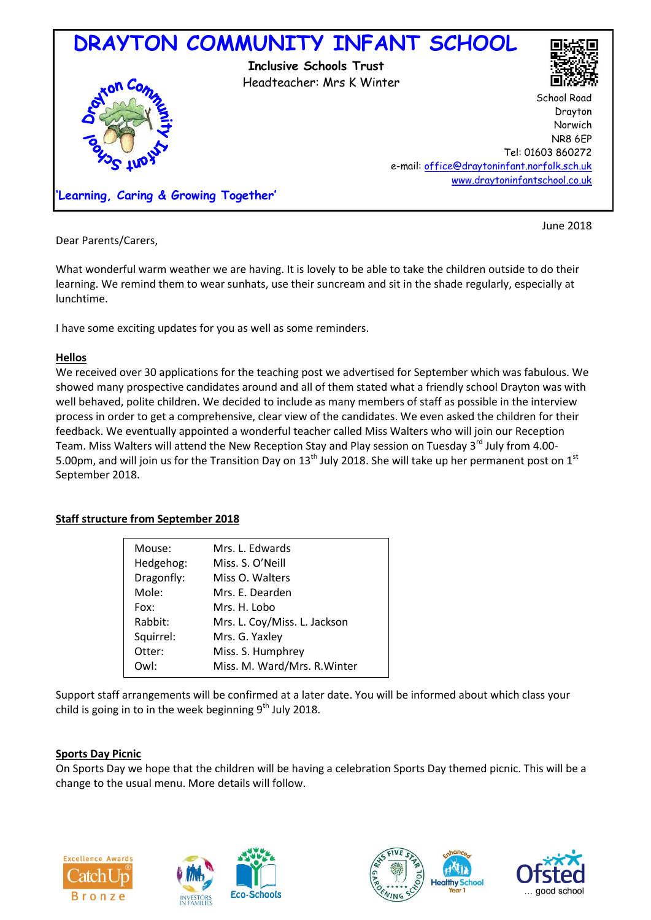

Dear Parents/Carers,

What wonderful warm weather we are having. It is lovely to be able to take the children outside to do their learning. We remind them to wear sunhats, use their suncream and sit in the shade regularly, especially at lunchtime.

I have some exciting updates for you as well as some reminders.

## **Hellos**

We received over 30 applications for the teaching post we advertised for September which was fabulous. We showed many prospective candidates around and all of them stated what a friendly school Drayton was with well behaved, polite children. We decided to include as many members of staff as possible in the interview process in order to get a comprehensive, clear view of the candidates. We even asked the children for their feedback. We eventually appointed a wonderful teacher called Miss Walters who will join our Reception Team. Miss Walters will attend the New Reception Stay and Play session on Tuesday 3<sup>rd</sup> July from 4.00-5.00pm, and will join us for the Transition Day on  $13<sup>th</sup>$  July 2018. She will take up her permanent post on  $1<sup>st</sup>$ September 2018.

# **Staff structure from September 2018**

| Mouse:     | Mrs. L. Edwards              |
|------------|------------------------------|
| Hedgehog:  | Miss. S. O'Neill             |
| Dragonfly: | Miss O. Walters              |
| Mole:      | Mrs. E. Dearden              |
| Fox:       | Mrs. H. Lobo                 |
| Rabbit:    | Mrs. L. Coy/Miss. L. Jackson |
| Squirrel:  | Mrs. G. Yaxley               |
| Otter:     | Miss. S. Humphrey            |
| Owl:       | Miss. M. Ward/Mrs. R. Winter |
|            |                              |

Support staff arrangements will be confirmed at a later date. You will be informed about which class your child is going in to in the week beginning  $9<sup>th</sup>$  July 2018.

## **Sports Day Picnic**

On Sports Day we hope that the children will be having a celebration Sports Day themed picnic. This will be a change to the usual menu. More details will follow.









June 2018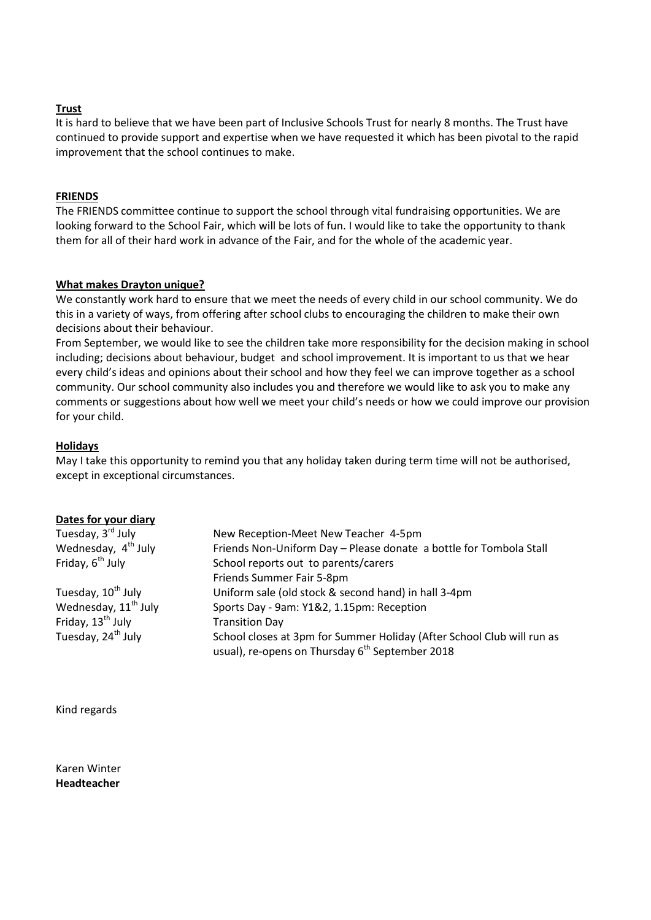### **Trust**

It is hard to believe that we have been part of Inclusive Schools Trust for nearly 8 months. The Trust have continued to provide support and expertise when we have requested it which has been pivotal to the rapid improvement that the school continues to make.

#### **FRIENDS**

The FRIENDS committee continue to support the school through vital fundraising opportunities. We are looking forward to the School Fair, which will be lots of fun. I would like to take the opportunity to thank them for all of their hard work in advance of the Fair, and for the whole of the academic year.

#### **What makes Drayton unique?**

We constantly work hard to ensure that we meet the needs of every child in our school community. We do this in a variety of ways, from offering after school clubs to encouraging the children to make their own decisions about their behaviour.

From September, we would like to see the children take more responsibility for the decision making in school including; decisions about behaviour, budget and school improvement. It is important to us that we hear every child's ideas and opinions about their school and how they feel we can improve together as a school community. Our school community also includes you and therefore we would like to ask you to make any comments or suggestions about how well we meet your child's needs or how we could improve our provision for your child.

#### **Holidays**

May I take this opportunity to remind you that any holiday taken during term time will not be authorised, except in exceptional circumstances.

#### **Dates for your diary**

| Tuesday, 3 <sup>rd</sup> July    | New Reception-Meet New Teacher 4-5pm                                   |
|----------------------------------|------------------------------------------------------------------------|
| Wednesday, 4 <sup>th</sup> July  | Friends Non-Uniform Day - Please donate a bottle for Tombola Stall     |
| Friday, 6 <sup>th</sup> July     | School reports out to parents/carers                                   |
|                                  | Friends Summer Fair 5-8pm                                              |
| Tuesday, 10 <sup>th</sup> July   | Uniform sale (old stock & second hand) in hall 3-4pm                   |
| Wednesday, 11 <sup>th</sup> July | Sports Day - 9am: Y1&2, 1.15pm: Reception                              |
| Friday, 13 <sup>th</sup> July    | <b>Transition Day</b>                                                  |
| Tuesday, 24 <sup>th</sup> July   | School closes at 3pm for Summer Holiday (After School Club will run as |
|                                  | usual), re-opens on Thursday 6 <sup>th</sup> September 2018            |

Kind regards

Karen Winter **Headteacher**